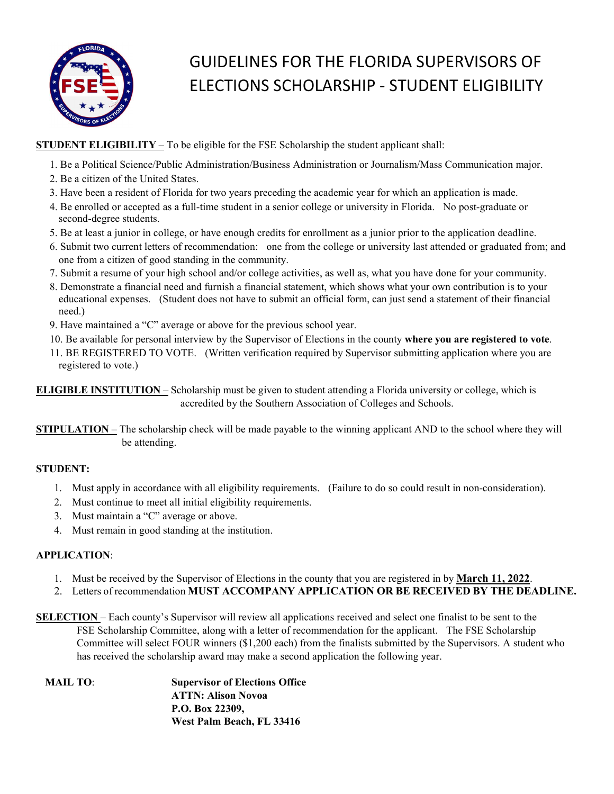

## GUIDELINES FOR THE FLORIDA SUPERVISORS OF ELECTIONS SCHOLARSHIP - STUDENT ELIGIBILITY

STUDENT ELIGIBILITY – To be eligible for the FSE Scholarship the student applicant shall:

- 1. Be a Political Science/Public Administration/Business Administration or Journalism/Mass Communication major.
- 2. Be a citizen of the United States.
- 3. Have been a resident of Florida for two years preceding the academic year for which an application is made.
- 4. Be enrolled or accepted as a full-time student in a senior college or university in Florida. No post-graduate or second-degree students.
- 5. Be at least a junior in college, or have enough credits for enrollment as a junior prior to the application deadline.
- 6. Submit two current letters of recommendation: one from the college or university last attended or graduated from; and one from a citizen of good standing in the community.
- 7. Submit a resume of your high school and/or college activities, as well as, what you have done for your community.
- 8. Demonstrate a financial need and furnish a financial statement, which shows what your own contribution is to your educational expenses. (Student does not have to submit an official form, can just send a statement of their financial need.)
- 9. Have maintained a "C" average or above for the previous school year.
- 
- 10. Be available for personal interview by the Supervisor of Elections in the county where you are registered to vote.<br>11. BE REGISTERED TO VOTE. (Written verification required by Supervisor submitting application where yo registered to vote.)

ELIGIBLE INSTITUTION – Scholarship must be given to student attending a Florida university or college, which is accredited by the Southern Association of Colleges and Schools.

STIPULATION – The scholarship check will be made payable to the winning applicant AND to the school where they will be attending.

## STUDENT:

- 1. Must apply in accordance with all eligibility requirements. (Failure to do so could result in non-consideration).
- 2. Must continue to meet all initial eligibility requirements.
- 3. Must maintain a "C" average or above.
- 4. Must remain in good standing at the institution.

## APPLICATION:

- 1. Must be received by the Supervisor of Elections in the county that you are registered in by March 11, 2022.
- 2. Letters of recommendation MUST ACCOMPANY APPLICATION OR BE RECEIVED BY THE DEADLINE.
- SELECTION Each county's Supervisor will review all applications received and select one finalist to be sent to the FSE Scholarship Committee, along with a letter of recommendation for the applicant. The FSE Scholarship Committee will select FOUR winners (\$1,200 each) from the finalists submitted by the Supervisors. A student who has received the scholarship award may make a second application the following year.

| MAIL TO: | <b>Supervisor of Elections Office</b> |  |
|----------|---------------------------------------|--|
|          | <b>ATTN: Alison Novoa</b>             |  |
|          | P.O. Box 22309,                       |  |
|          | West Palm Beach, FL 33416             |  |